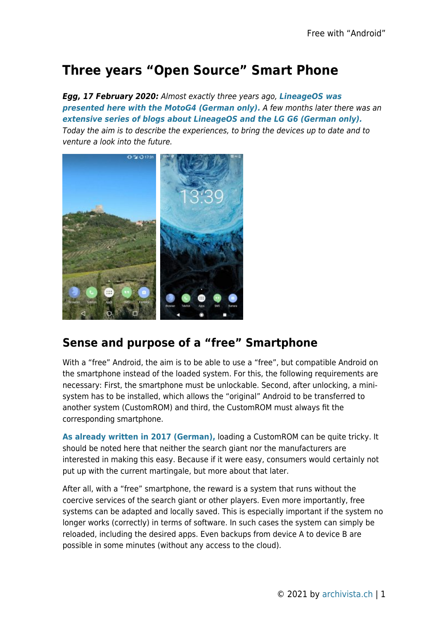# **Three years "Open Source" Smart Phone**

*Egg, 17 February 2020:* Almost exactly three years ago, *[LineageOS was](https://archivista.ch/cms/wp-content/uploads/motog4lineage.pdf) [presented here with the MotoG4 \(German only\).](https://archivista.ch/cms/wp-content/uploads/motog4lineage.pdf)* A few months later there was an *[extensive series of blogs about LineageOS and the LG G6 \(German only\).](https://archivista.ch/cms/de/aktuell-blog/frei-mit-android/)* Today the aim is to describe the experiences, to bring the devices up to date and to venture a look into the future.



#### **Sense and purpose of a "free" Smartphone**

With a "free" Android, the aim is to be able to use a "free", but compatible Android on the smartphone instead of the loaded system. For this, the following requirements are necessary: First, the smartphone must be unlockable. Second, after unlocking, a minisystem has to be installed, which allows the "original" Android to be transferred to another system (CustomROM) and third, the CustomROM must always fit the corresponding smartphone.

**[As already written in 2017 \(German\),](https://archivista.ch/cms/de/aktuell-blog/blogs-2017/lineageos-mit-root/)** loading a CustomROM can be quite tricky. It should be noted here that neither the search giant nor the manufacturers are interested in making this easy. Because if it were easy, consumers would certainly not put up with the current martingale, but more about that later.

After all, with a "free" smartphone, the reward is a system that runs without the coercive services of the search giant or other players. Even more importantly, free systems can be adapted and locally saved. This is especially important if the system no longer works (correctly) in terms of software. In such cases the system can simply be reloaded, including the desired apps. Even backups from device A to device B are possible in some minutes (without any access to the cloud).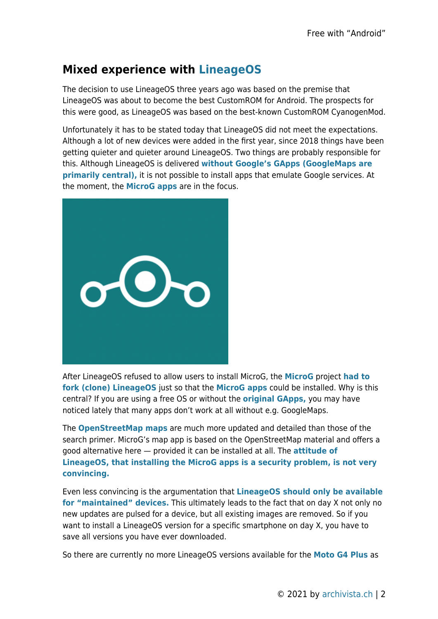# **Mixed experience with [LineageOS](https://www.lineageos.org/)**

The decision to use LineageOS three years ago was based on the premise that LineageOS was about to become the best CustomROM for Android. The prospects for this were good, as LineageOS was based on the best-known CustomROM CyanogenMod.

Unfortunately it has to be stated today that LineageOS did not meet the expectations. Although a lot of new devices were added in the first year, since 2018 things have been getting quieter and quieter around LineageOS. Two things are probably responsible for this. Although LineageOS is delivered **[without Google's GApps \(GoogleMaps are](https://www.droidwiki.org/wiki/Gapps) [primarily central\),](https://www.droidwiki.org/wiki/Gapps)** it is not possible to install apps that emulate Google services. At the moment, the **[MicroG apps](https://microg.org/)** are in the focus.



After LineageOS refused to allow users to install MicroG, the **[MicroG](https://microg.org)** project **[had to](https://lineage.microg.org/) [fork \(clone\) LineageOS](https://lineage.microg.org/)** just so that the **[MicroG apps](https://microg.org)** could be installed. Why is this central? If you are using a free OS or without the **[original GApps,](https://wiki.lineageos.org/gapps.html)** you may have noticed lately that many apps don't work at all without e.g. GoogleMaps.

The **[OpenStreetMap maps](https://www.openstreetmap.org)** are much more updated and detailed than those of the search primer. MicroG's map app is based on the OpenStreetMap material and offers a good alternative here — provided it can be installed at all. The **[attitude of](https://lineage.microg.org/) [LineageOS, that installing the MicroG apps is a security problem, is not very](https://lineage.microg.org/) [convincing.](https://lineage.microg.org/)**

Even less convincing is the argumentation that **[LineageOS should only be available](https://9to5google.com/2019/07/29/nexus-4-galaxy-s9-lose-official-lineageos-support/) [for "maintained" devices.](https://9to5google.com/2019/07/29/nexus-4-galaxy-s9-lose-official-lineageos-support/)** This ultimately leads to the fact that on day X not only no new updates are pulsed for a device, but all existing images are removed. So if you want to install a LineageOS version for a specific smartphone on day X, you have to save all versions you have ever downloaded.

So there are currently no more LineageOS versions available for the **[Moto G4 Plus](https://www.giga.de/smartphones/moto-g4-plus/)** as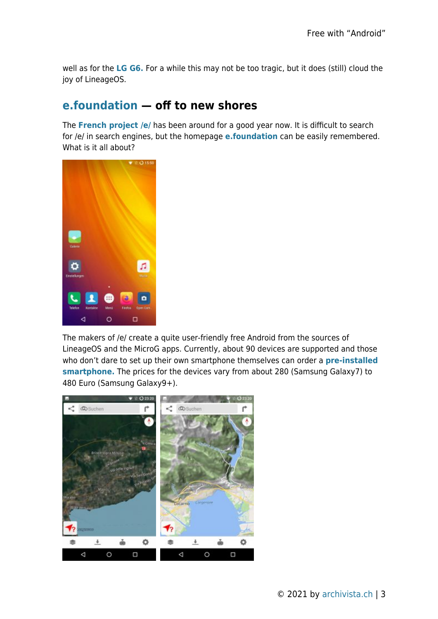well as for the **[LG G6.](https://archivista.ch/cms/de/aktuell-blog/blogs-2017/lg-g6-mit-viel-power/)** For a while this may not be too tragic, but it does (still) cloud the joy of LineageOS.

#### **[e.foundation](https://e.foundation) — off to new shores**

The **[French project /e/](https://e.foundation)** has been around for a good year now. It is difficult to search for /e/ in search engines, but the homepage **[e.foundation](https://e.foundation)** can be easily remembered. What is it all about?



The makers of /e/ create a quite user-friendly free Android from the sources of LineageOS and the MicroG apps. Currently, about 90 devices are supported and those who don't dare to set up their own smartphone themselves can order a **[pre-installed](https://e.foundation/e-pre-installed-refurbished-smartphones/) [smartphone.](https://e.foundation/e-pre-installed-refurbished-smartphones/)** The prices for the devices vary from about 280 (Samsung Galaxy7) to 480 Euro (Samsung Galaxy9+).

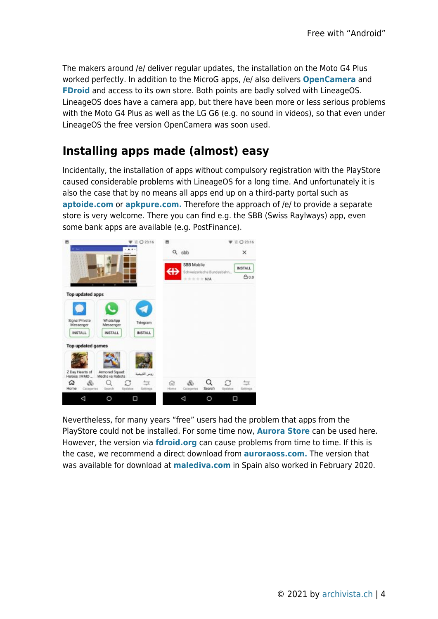The makers around /e/ deliver regular updates, the installation on the Moto G4 Plus worked perfectly. In addition to the MicroG apps, /e/ also delivers **[OpenCamera](https://opencamera.sourceforge.io/)** and **[FDroid](https://f-droid.org/)** and access to its own store. Both points are badly solved with LineageOS. LineageOS does have a camera app, but there have been more or less serious problems with the Moto G4 Plus as well as the LG G6 (e.g. no sound in videos), so that even under LineageOS the free version OpenCamera was soon used.

### **Installing apps made (almost) easy**

Incidentally, the installation of apps without compulsory registration with the PlayStore caused considerable problems with LineageOS for a long time. And unfortunately it is also the case that by no means all apps end up on a third-party portal such as **[aptoide.com](https://aptoide.com)** or **[apkpure.com.](https://apkpure.com)** Therefore the approach of /e/ to provide a separate store is very welcome. There you can find e.g. the SBB (Swiss Raylways) app, even some bank apps are available (e.g. PostFinance).



Nevertheless, for many years "free" users had the problem that apps from the PlayStore could not be installed. For some time now, **[Aurora Store](https://auroraoss.com)** can be used here. However, the version via **[fdroid.org](http://fdroid.org)** can cause problems from time to time. If this is the case, we recommend a direct download from **[auroraoss.com.](https://auroraoss.com)** The version that was available for download at **[malediva.com](https://www.malavida.com/de/soft/aurora-store/android)** in Spain also worked in February 2020.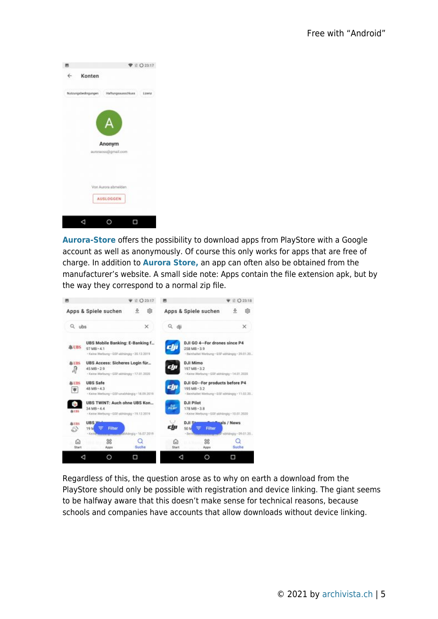

**[Aurora-Store](https://auroraoss.com)** offers the possibility to download apps from PlayStore with a Google account as well as anonymously. Of course this only works for apps that are free of charge. In addition to **[Aurora Store,](https://auroraoss.com)** an app can often also be obtained from the manufacturer's website. A small side note: Apps contain the file extension apk, but by the way they correspond to a normal zip file.



Regardless of this, the question arose as to why on earth a download from the PlayStore should only be possible with registration and device linking. The giant seems to be halfway aware that this doesn't make sense for technical reasons, because schools and companies have accounts that allow downloads without device linking.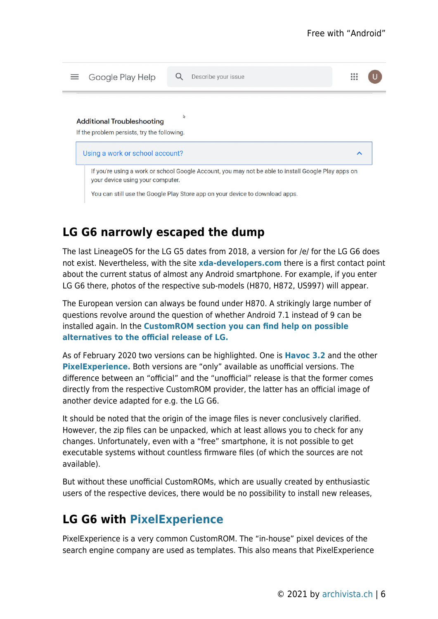

# **LG G6 narrowly escaped the dump**

The last LineageOS for the LG G5 dates from 2018, a version for /e/ for the LG G6 does not exist. Nevertheless, with the site **[xda-developers.com](https://www.xda-developers.com/)** there is a first contact point about the current status of almost any Android smartphone. For example, if you enter LG G6 there, photos of the respective sub-models (H870, H872, US997) will appear.

The European version can always be found under H870. A strikingly large number of questions revolve around the question of whether Android 7.1 instead of 9 can be installed again. In the **[CustomROM section you can find help on possible](https://forum.xda-developers.com/lg-g6/development) [alternatives to the official release of LG.](https://forum.xda-developers.com/lg-g6/development)**

As of February 2020 two versions can be highlighted. One is **[Havoc 3.2](https://sourceforge.net/projects/havoc-os/)** and the other **[PixelExperience.](https://download.pixelexperience.org/)** Both versions are "only" available as unofficial versions. The difference between an "official" and the "unofficial" release is that the former comes directly from the respective CustomROM provider, the latter has an official image of another device adapted for e.g. the LG G6.

It should be noted that the origin of the image files is never conclusively clarified. However, the zip files can be unpacked, which at least allows you to check for any changes. Unfortunately, even with a "free" smartphone, it is not possible to get executable systems without countless firmware files (of which the sources are not available).

But without these unofficial CustomROMs, which are usually created by enthusiastic users of the respective devices, there would be no possibility to install new releases,

# **LG G6 with [PixelExperience](https://download.pixelexperience.org/)**

PixelExperience is a very common CustomROM. The "in-house" pixel devices of the search engine company are used as templates. This also means that PixelExperience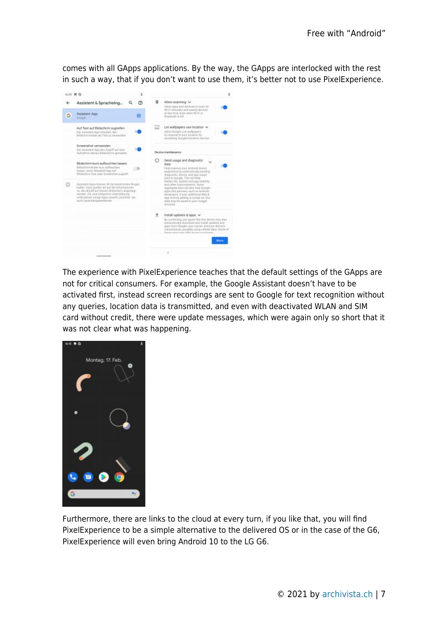comes with all GApps applications. By the way, the GApps are interlocked with the rest in such a way, that if you don't want to use them, it's better not to use PixelExperience.



The experience with PixelExperience teaches that the default settings of the GApps are not for critical consumers. For example, the Google Assistant doesn't have to be activated first, instead screen recordings are sent to Google for text recognition without any queries, location data is transmitted, and even with deactivated WLAN and SIM card without credit, there were update messages, which were again only so short that it was not clear what was happening.



Furthermore, there are links to the cloud at every turn, if you like that, you will find PixelExperience to be a simple alternative to the delivered OS or in the case of the G6, PixelExperience will even bring Android 10 to the LG G6.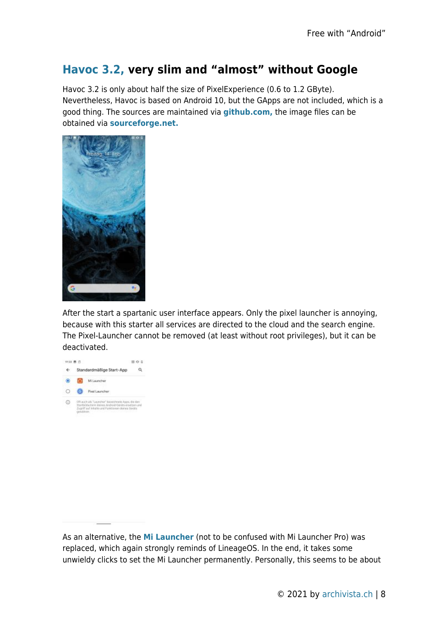### **[Havoc 3.2,](https://sourceforge.net/projects/havoc-os/) very slim and "almost" without Google**

Havoc 3.2 is only about half the size of PixelExperience (0.6 to 1.2 GByte). Nevertheless, Havoc is based on Android 10, but the GApps are not included, which is a good thing. The sources are maintained via **[github.com,](https://github.com/Havoc-OS)** the image files can be obtained via **[sourceforge.net.](https://sourceforge.net/projects/havoc-os/)**



After the start a spartanic user interface appears. Only the pixel launcher is annoying, because with this starter all services are directed to the cloud and the search engine. The Pixel-Launcher cannot be removed (at least without root privileges), but it can be deactivated.



As an alternative, the **[Mi Launcher](https://play.google.com/store/apps/details?id=com.mi.launcher&hl=de_CH)** (not to be confused with Mi Launcher Pro) was replaced, which again strongly reminds of LineageOS. In the end, it takes some unwieldy clicks to set the Mi Launcher permanently. Personally, this seems to be about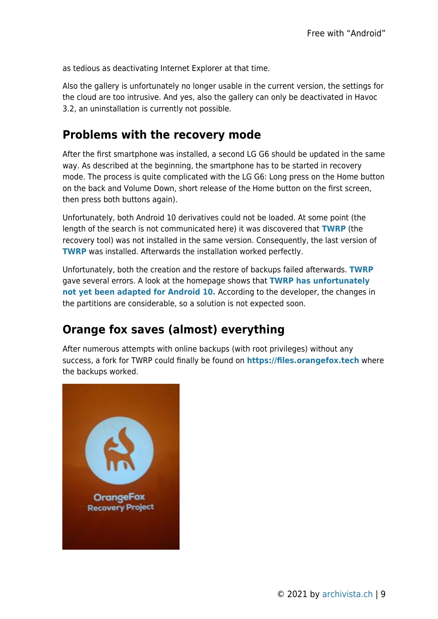as tedious as deactivating Internet Explorer at that time.

Also the gallery is unfortunately no longer usable in the current version, the settings for the cloud are too intrusive. And yes, also the gallery can only be deactivated in Havoc 3.2, an uninstallation is currently not possible.

#### **Problems with the recovery mode**

After the first smartphone was installed, a second LG G6 should be updated in the same way. As described at the beginning, the smartphone has to be started in recovery mode. The process is quite complicated with the LG G6: Long press on the Home button on the back and Volume Down, short release of the Home button on the first screen, then press both buttons again).

Unfortunately, both Android 10 derivatives could not be loaded. At some point (the length of the search is not communicated here) it was discovered that **[TWRP](https://twrp.me/)** (the recovery tool) was not installed in the same version. Consequently, the last version of **[TWRP](https://twrp.me/)** was installed. Afterwards the installation worked perfectly.

Unfortunately, both the creation and the restore of backups failed afterwards. **[TWRP](https://twrp.me/)** gave several errors. A look at the homepage shows that **[TWRP has unfortunately](https://twrp.me/site/update/2019/10/23/twrp-and-android-10.html) [not yet been adapted for Android 10.](https://twrp.me/site/update/2019/10/23/twrp-and-android-10.html)** According to the developer, the changes in the partitions are considerable, so a solution is not expected soon.

# **Orange fox saves (almost) everything**

After numerous attempts with online backups (with root privileges) without any success, a fork for TWRP could finally be found on **<https://files.orangefox.tech>** where the backups worked.

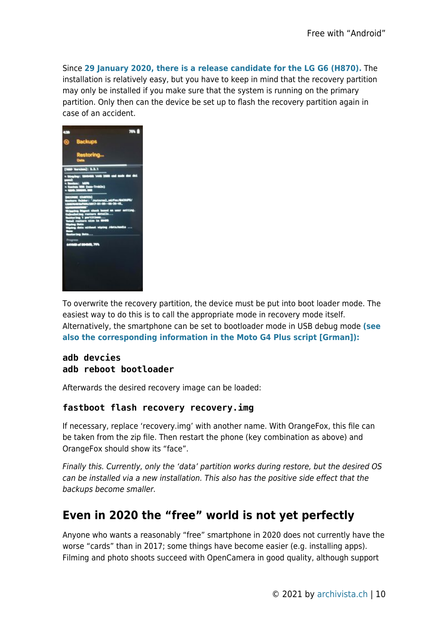Since **[29 January 2020, there is a release candidate for the LG G6 \(H870\).](https://files.orangefox.tech/OrangeFox-Beta/h870/)** The installation is relatively easy, but you have to keep in mind that the recovery partition may only be installed if you make sure that the system is running on the primary partition. Only then can the device be set up to flash the recovery partition again in case of an accident.



To overwrite the recovery partition, the device must be put into boot loader mode. The easiest way to do this is to call the appropriate mode in recovery mode itself. Alternatively, the smartphone can be set to bootloader mode in USB debug mode **[\(see](https://archivista.ch/cms/wp-content/uploads/motog4lineage.pdf) [also the corresponding information in the Moto G4 Plus script \[Grman\]\):](https://archivista.ch/cms/wp-content/uploads/motog4lineage.pdf)**

#### **adb devcies adb reboot bootloader**

Afterwards the desired recovery image can be loaded:

#### **fastboot flash recovery recovery.img**

If necessary, replace 'recovery.img' with another name. With OrangeFox, this file can be taken from the zip file. Then restart the phone (key combination as above) and OrangeFox should show its "face".

Finally this. Currently, only the 'data' partition works during restore, but the desired OS can be installed via a new installation. This also has the positive side effect that the backups become smaller.

### **Even in 2020 the "free" world is not yet perfectly**

Anyone who wants a reasonably "free" smartphone in 2020 does not currently have the worse "cards" than in 2017; some things have become easier (e.g. installing apps). Filming and photo shoots succeed with OpenCamera in good quality, although support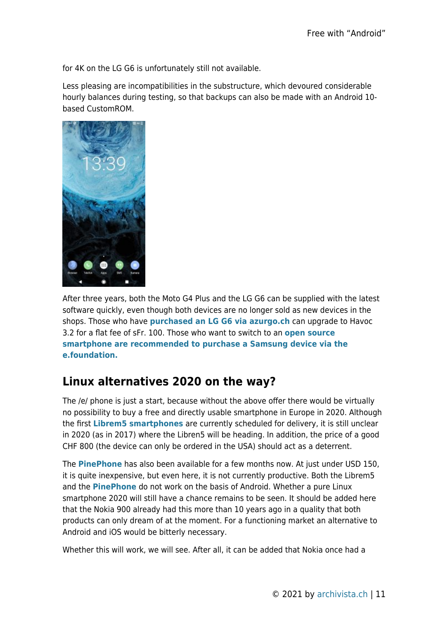for 4K on the LG G6 is unfortunately still not available.

Less pleasing are incompatibilities in the substructure, which devoured considerable hourly balances during testing, so that backups can also be made with an Android 10 based CustomROM.



After three years, both the Moto G4 Plus and the LG G6 can be supplied with the latest software quickly, even though both devices are no longer sold as new devices in the shops. Those who have **[purchased an LG G6 via azurgo.ch](https://azurgo.ch/produkt/smartphone-lg-g6-mit-lineageos/)** can upgrade to Havoc 3.2 for a flat fee of sFr. 100. Those who want to switch to an **[open source](https://e.foundation/e-pre-installed-refurbished-smartphones/) [smartphone are recommended to purchase a Samsung device via the](https://e.foundation/e-pre-installed-refurbished-smartphones/) [e.foundation.](https://e.foundation/e-pre-installed-refurbished-smartphones/)**

### **Linux alternatives 2020 on the way?**

The /e/ phone is just a start, because without the above offer there would be virtually no possibility to buy a free and directly usable smartphone in Europe in 2020. Although the first **[Librem5 smartphones](https://puri.sm/products/librem-5/)** are currently scheduled for delivery, it is still unclear in 2020 (as in 2017) where the Libren5 will be heading. In addition, the price of a good CHF 800 (the device can only be ordered in the USA) should act as a deterrent.

The **[PinePhone](https://www.pine64.org/pinephone/)** has also been available for a few months now. At just under USD 150, it is quite inexpensive, but even here, it is not currently productive. Both the Librem5 and the **[PinePhone](https://www.pine64.org/pinephone/)** do not work on the basis of Android. Whether a pure Linux smartphone 2020 will still have a chance remains to be seen. It should be added here that the Nokia 900 already had this more than 10 years ago in a quality that both products can only dream of at the moment. For a functioning market an alternative to Android and iOS would be bitterly necessary.

Whether this will work, we will see. After all, it can be added that Nokia once had a